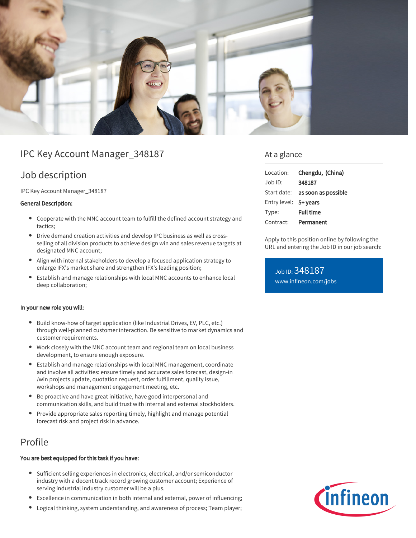

# IPC Key Account Manager\_348187

# Job description

IPC Key Account Manager\_348187

#### General Description:

- Cooperate with the MNC account team to fulfill the defined account strategy and tactics;
- Drive demand creation activities and develop IPC business as well as crossselling of all division products to achieve design win and sales revenue targets at designated MNC account;
- Align with internal stakeholders to develop a focused application strategy to enlarge IFX's market share and strengthen IFX's leading position;
- Establish and manage relationships with local MNC accounts to enhance local deep collaboration;

#### In your new role you will:

- Build know-how of target application (like Industrial Drives, EV, PLC, etc.) through well-planned customer interaction. Be sensitive to market dynamics and customer requirements.
- Work closely with the MNC account team and regional team on local business development, to ensure enough exposure.
- Establish and manage relationships with local MNC management, coordinate and involve all activities: ensure timely and accurate sales forecast, design-in /win projects update, quotation request, order fulfillment, quality issue, workshops and management engagement meeting, etc.
- Be proactive and have great initiative, have good interpersonal and communication skills, and build trust with internal and external stockholders.
- Provide appropriate sales reporting timely, highlight and manage potential forecast risk and project risk in advance.

### Profile

#### You are best equipped for this task if you have:

- Sufficient selling experiences in electronics, electrical, and/or semiconductor  $\bullet$ industry with a decent track record growing customer account; Experience of serving industrial industry customer will be a plus.
- Excellence in communication in both internal and external, power of influencing;
- Logical thinking, system understanding, and awareness of process; Team player;

### At a glance

| Location:             | Chengdu, (China)                       |
|-----------------------|----------------------------------------|
| Job ID:               | 348187                                 |
|                       | Start date: <b>as soon as possible</b> |
| Entry level: 5+ years |                                        |
| Type:                 | <b>Full time</b>                       |
| Contract:             | Permanent                              |

Apply to this position online by following the URL and entering the Job ID in our job search:

Job ID: 348187 [www.infineon.com/jobs](https://www.infineon.com/jobs)